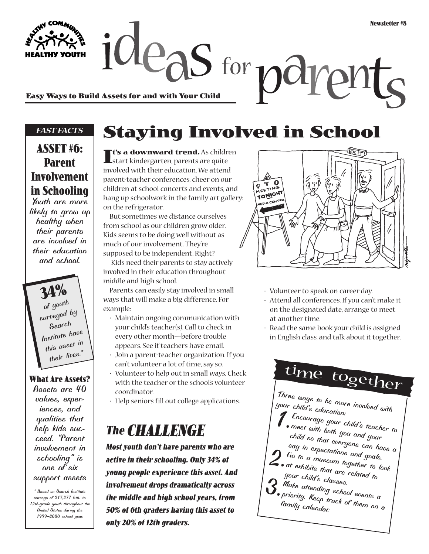Easy Ways to Build Assets for and with Your Child<br>Easy Ways to Build Assets for and with Your Child

#### *FAST FACTS*

### **ASSET #6: Parent Involvement in Schooling**

*Youth are more likely to grow up healthy when their parents are involved in their education and school.*

> **34%** *of youth surveyed by Search Institute have this asset in their lives.\**

**What Are Assets?** *Assets are 40 values, experiences, and qualities that help kids succeed. "Parent involvement in schooling" is one of six support assets*

*\* Based on Search Institute surveys of 217,277 6th- to 12th-grade youth throughout the United States during the 1999–2000 school year.*

## **Staying Involved in School**

**It's a downward trend.** As children start kindergarten, parents are quite involved with their education. We attend parent-teacher conferences, cheer on our children at school concerts and events, and hang up schoolwork in the family art gallery: on the refrigerator.

But sometimes we distance ourselves from school as our children grow older. Kids seems to be doing well without as much of our involvement. They're supposed to be independent. Right?

Kids need their parents to stay actively involved in their education throughout middle and high school.

Parents can easily stay involved in small ways that will make a big difference. For example:

- Maintain ongoing communication with your child's teacher(s). Call to check in every other month—before trouble appears. See if teachers have email.
- Join a parent-teacher organization. If you can't volunteer a lot of time, say so.
- Volunteer to help out in small ways. Check with the teacher or the school's volunteer coordinator.
- Help seniors fill out college applications.

## **The CHALLENGE**

**Most youth don't have parents who are active in their schooling. Only 34% of young people experience this asset. And involvement drops dramatically across the middle and high school years, from 50% of 6th graders having this asset to only 20% of 12th graders.**



- Volunteer to speak on career day.
- Attend all conferences. If you can't make it on the designated date, arrange to meet at another time.
- Read the same book your child is assigned in English class, and talk about it together.